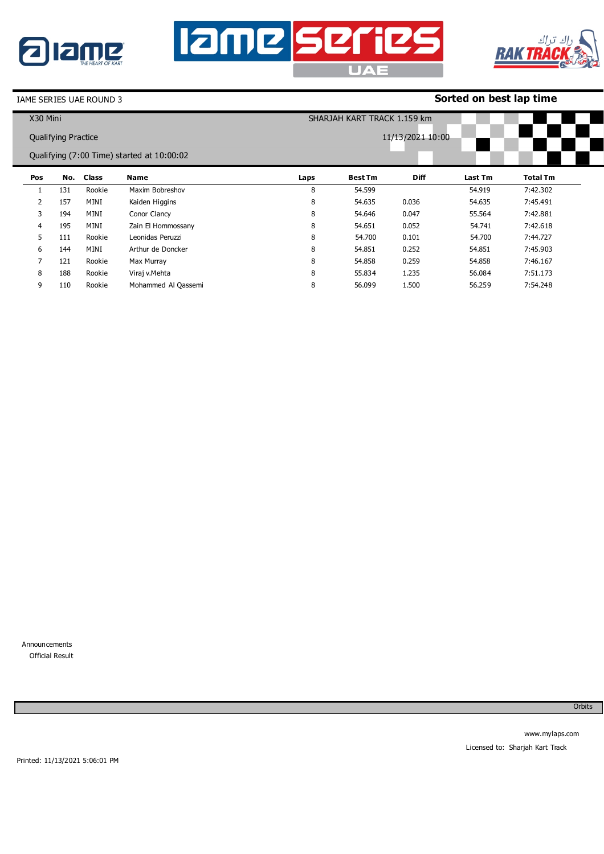





## **Sorted on best lap time**

| X30 Mini |                            |              |                                            | SHARJAH KART TRACK 1.159 km |                |                  |         |          |  |
|----------|----------------------------|--------------|--------------------------------------------|-----------------------------|----------------|------------------|---------|----------|--|
|          | <b>Qualifying Practice</b> |              |                                            |                             |                | 11/13/2021 10:00 |         |          |  |
|          |                            |              | Qualifying (7:00 Time) started at 10:00:02 |                             |                |                  |         |          |  |
| Pos      | No.                        | <b>Class</b> | Name                                       | Laps                        | <b>Best Tm</b> | <b>Diff</b>      | Last Tm | Total Tm |  |
|          | 131                        | Rookie       | Maxim Bobreshov                            | 8                           | 54.599         |                  | 54.919  | 7:42.302 |  |
| 2        | 157                        | MINI         | Kaiden Higgins                             | 8                           | 54.635         | 0.036            | 54.635  | 7:45.491 |  |
| 3        | 194                        | MINI         | Conor Clancy                               | 8                           | 54.646         | 0.047            | 55.564  | 7:42.881 |  |
| 4        | 195                        | MINI         | Zain El Hommossany                         | 8                           | 54.651         | 0.052            | 54.741  | 7:42.618 |  |
| 5        | 111                        | Rookie       | Leonidas Peruzzi                           | 8                           | 54.700         | 0.101            | 54.700  | 7:44.727 |  |
| 6        | 144                        | MINI         | Arthur de Doncker                          | 8                           | 54.851         | 0.252            | 54.851  | 7:45.903 |  |
| 7        | 121                        | Rookie       | Max Murray                                 | 8                           | 54.858         | 0.259            | 54.858  | 7:46.167 |  |
| 8        | 188                        | Rookie       | Viraj v.Mehta                              | 8                           | 55.834         | 1.235            | 56.084  | 7:51.173 |  |
| 9        | 110                        | Rookie       | Mohammed Al Qassemi                        | 8                           | 56.099         | 1.500            | 56.259  | 7:54.248 |  |

Announcements 0 Official Result

**Orbits**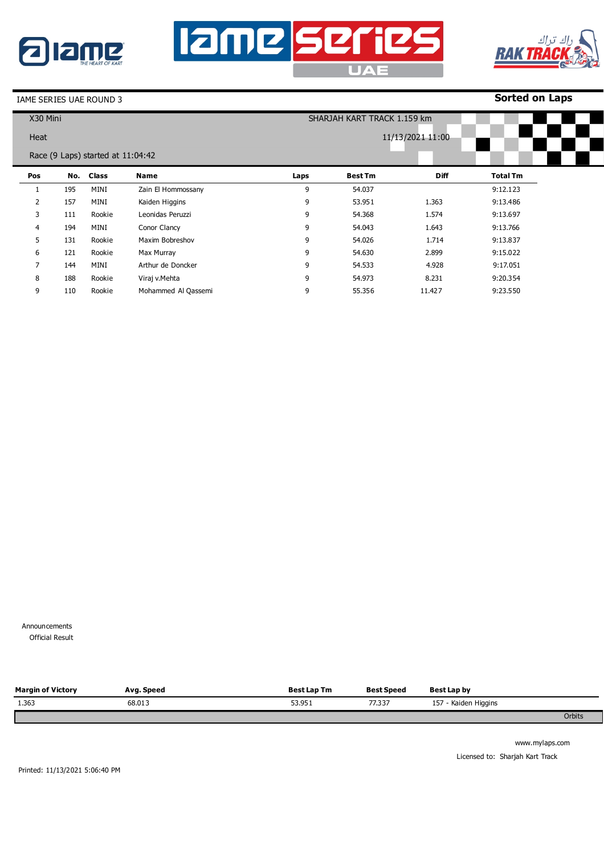





9

110

Rookie

Mohammed Al Qassemi

### **Sorted on Laps**

9:23.550

| X30 Mini       |     |                                   |                    | SHARJAH KART TRACK 1.159 km |                |                  |                 |  |
|----------------|-----|-----------------------------------|--------------------|-----------------------------|----------------|------------------|-----------------|--|
| Heat           |     |                                   |                    |                             |                | 11/13/2021 11:00 |                 |  |
|                |     |                                   |                    |                             |                |                  |                 |  |
|                |     | Race (9 Laps) started at 11:04:42 |                    |                             |                |                  |                 |  |
| Pos            | No. | <b>Class</b>                      | Name               | Laps                        | <b>Best Tm</b> | <b>Diff</b>      | <b>Total Tm</b> |  |
| 1              | 195 | MINI                              | Zain El Hommossany | 9                           | 54.037         |                  | 9:12.123        |  |
| $\overline{2}$ | 157 | MINI                              | Kaiden Higgins     | 9                           | 53.951         | 1.363            | 9:13.486        |  |
| 3              | 111 | Rookie                            | Leonidas Peruzzi   | 9                           | 54.368         | 1.574            | 9:13.697        |  |
| 4              | 194 | MINI                              | Conor Clancy       | 9                           | 54.043         | 1.643            | 9:13.766        |  |
| 5              | 131 | Rookie                            | Maxim Bobreshov    | 9                           | 54.026         | 1.714            | 9:13.837        |  |
| 6              | 121 | Rookie                            | Max Murray         | 9                           | 54.630         | 2.899            | 9:15.022        |  |
| $\overline{7}$ | 144 | MINI                              | Arthur de Doncker  | 9                           | 54.533         | 4.928            | 9:17.051        |  |
| 8              | 188 | Rookie                            | Viraj v.Mehta      | 9                           | 54.973         | 8.231            | 9:20.354        |  |

9

55.356

11.427

Announcements

**Official Result** 

| <b>Margin of Victory</b> | Avg. Speed | <b>Best Lap Tm</b> | <b>Best Speed</b> | Best Lap by          |        |
|--------------------------|------------|--------------------|-------------------|----------------------|--------|
| 1.363                    | 68.013     | 53.951             | 77.337            | 157 - Kaiden Higgins |        |
|                          |            |                    |                   |                      | Orbits |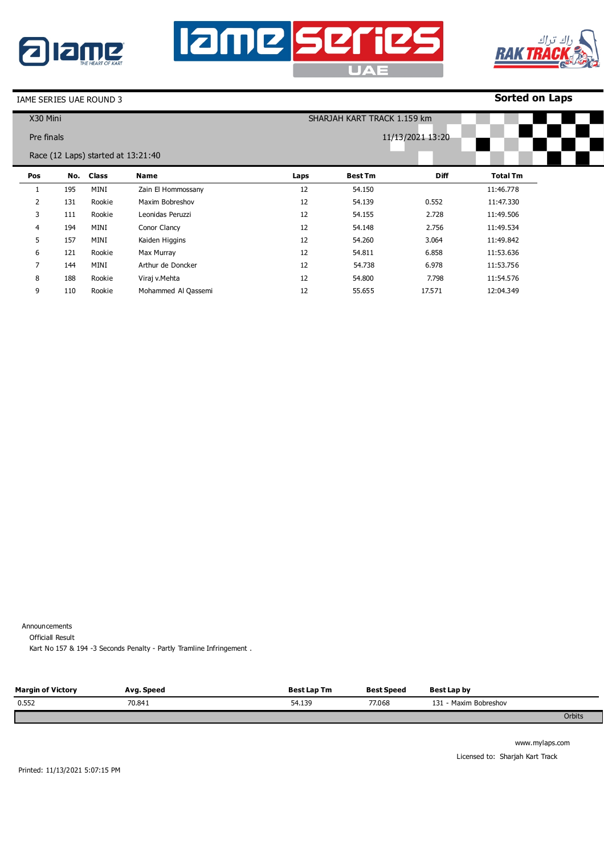





9

110

Rookie

Mohammed Al Qassemi

## **Sorted on Laps**

12:04.349

| X30 Mini   |     |                                    |                    | SHARJAH KART TRACK 1.159 km |                  |             |                 |  |  |  |
|------------|-----|------------------------------------|--------------------|-----------------------------|------------------|-------------|-----------------|--|--|--|
| Pre finals |     |                                    |                    |                             | 11/13/2021 13:20 |             |                 |  |  |  |
|            |     |                                    |                    |                             |                  |             |                 |  |  |  |
|            |     | Race (12 Laps) started at 13:21:40 |                    |                             |                  |             |                 |  |  |  |
| Pos        | No. | <b>Class</b>                       | Name               | Laps                        | <b>Best Tm</b>   | <b>Diff</b> | <b>Total Tm</b> |  |  |  |
|            | 195 | MINI                               | Zain El Hommossany | 12                          | 54.150           |             | 11:46.778       |  |  |  |
| 2          | 131 | Rookie                             | Maxim Bobreshov    | 12                          | 54.139           | 0.552       | 11:47.330       |  |  |  |
| 3          | 111 | Rookie                             | Leonidas Peruzzi   | 12                          | 54.155           | 2.728       | 11:49.506       |  |  |  |
| 4          | 194 | MINI                               | Conor Clancy       | 12                          | 54.148           | 2.756       | 11:49.534       |  |  |  |
| 5          | 157 | MINI                               | Kaiden Higgins     | 12                          | 54.260           | 3.064       | 11:49.842       |  |  |  |
| 6          | 121 | Rookie                             | Max Murray         | 12                          | 54.811           | 6.858       | 11:53.636       |  |  |  |
| 7          | 144 | MINI                               | Arthur de Doncker  | 12                          | 54.738           | 6.978       | 11:53.756       |  |  |  |
| 8          | 188 | Rookie                             | Viraj v.Mehta      | 12                          | 54.800           | 7.798       | 11:54.576       |  |  |  |

12

55.655

17.571

Announcements

Officiall Result

Kart No 157 & 194 -3 Seconds Penalty - Partly Tramline Infringement .

| <b>Margin of Victory</b> | Avg. Speed | Best Lap Tm | <b>Best Speed</b> | Best Lap by              |               |
|--------------------------|------------|-------------|-------------------|--------------------------|---------------|
| 0.552                    | 70.841     | 54.139      | 77.068            | 131<br>- Maxim Bobreshov |               |
|                          |            |             |                   |                          | <b>Orbits</b> |